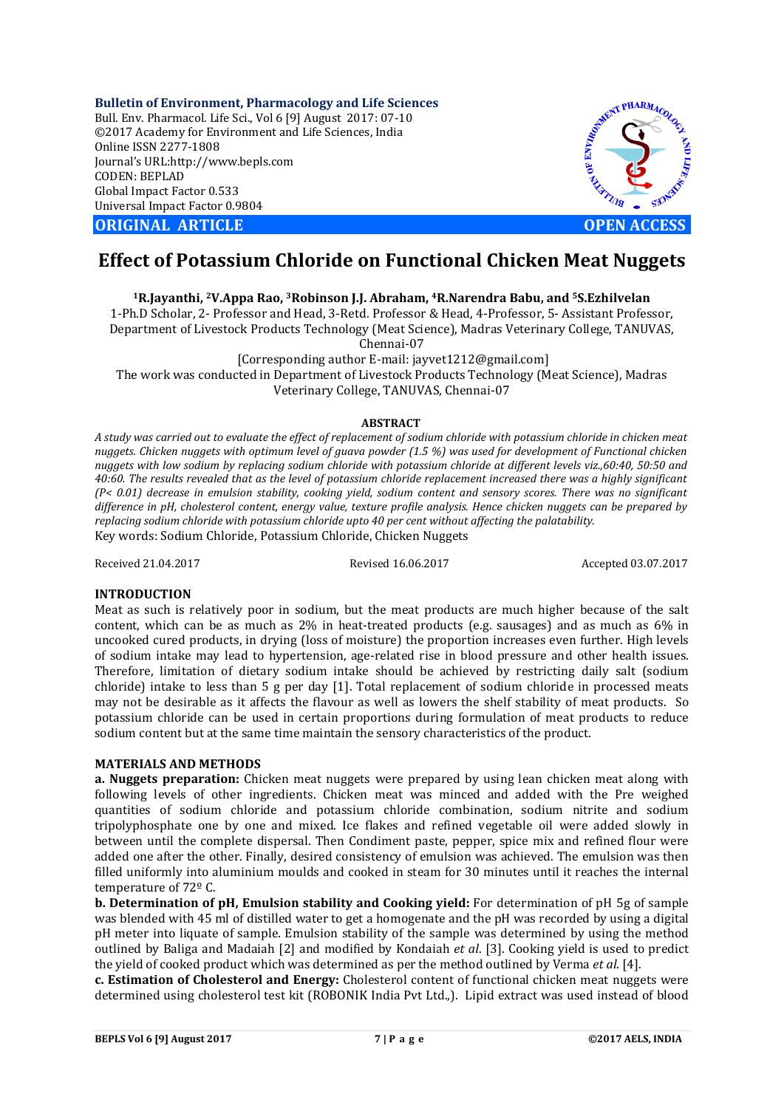**Bulletin of Environment, Pharmacology and Life Sciences** Bull. Env. Pharmacol. Life Sci., Vol 6 [9] August 2017: 07-10 ©2017 Academy for Environment and Life Sciences, India Online ISSN 2277-1808 Journal's URL:http://www.bepls.com CODEN: BEPLAD Global Impact Factor 0.533 Universal Impact Factor 0.9804

**CORIGINAL ARTICLE CONSUMING ARTICLE CONSUMING A REPORT OF A LIGHT AND A REPORT OF A LIGHT AND A LIGHT AND A LIGHT AND A LIGHT AND A LIGHT AND A LIGHT AND A LIGHT AND A LIGHT AND A LIGHT AND A LIGHT AND A LIGHT AND A L** 



# **Effect of Potassium Chloride on Functional Chicken Meat Nuggets**

**1R.Jayanthi, 2V.Appa Rao, 3Robinson J.J. Abraham, 4R.Narendra Babu, and 5S.Ezhilvelan**

1-Ph.D Scholar, 2- Professor and Head, 3-Retd. Professor & Head, 4-Professor, 5- Assistant Professor, Department of Livestock Products Technology (Meat Science), Madras Veterinary College, TANUVAS,

Chennai-07

[Corresponding author E-mail: jayvet1212@gmail.com]

The work was conducted in Department of Livestock Products Technology (Meat Science), Madras Veterinary College, TANUVAS, Chennai-07

# **ABSTRACT**

*A study was carried out to evaluate the effect of replacement of sodium chloride with potassium chloride in chicken meat nuggets. Chicken nuggets with optimum level of guava powder (1.5 %) was used for development of Functional chicken nuggets with low sodium by replacing sodium chloride with potassium chloride at different levels viz.,60:40, 50:50 and 40:60. The results revealed that as the level of potassium chloride replacement increased there was a highly significant (P< 0.01) decrease in emulsion stability, cooking yield, sodium content and sensory scores. There was no significant difference in pH, cholesterol content, energy value, texture profile analysis. Hence chicken nuggets can be prepared by replacing sodium chloride with potassium chloride upto 40 per cent without affecting the palatability.* Key words: Sodium Chloride, Potassium Chloride, Chicken Nuggets

Received 21.04.2017 Revised 16.06.2017 Accepted 03.07.2017

## **INTRODUCTION**

Meat as such is relatively poor in sodium, but the meat products are much higher because of the salt content, which can be as much as 2% in heat-treated products (e.g. sausages) and as much as 6% in uncooked cured products, in drying (loss of moisture) the proportion increases even further. High levels of sodium intake may lead to hypertension, age-related rise in blood pressure and other health issues. Therefore, limitation of dietary sodium intake should be achieved by restricting daily salt (sodium chloride) intake to less than 5 g per day [1]. Total replacement of sodium chloride in processed meats may not be desirable as it affects the flavour as well as lowers the shelf stability of meat products. So potassium chloride can be used in certain proportions during formulation of meat products to reduce sodium content but at the same time maintain the sensory characteristics of the product.

## **MATERIALS AND METHODS**

**a. Nuggets preparation:** Chicken meat nuggets were prepared by using lean chicken meat along with following levels of other ingredients. Chicken meat was minced and added with the Pre weighed quantities of sodium chloride and potassium chloride combination, sodium nitrite and sodium tripolyphosphate one by one and mixed. Ice flakes and refined vegetable oil were added slowly in between until the complete dispersal. Then Condiment paste, pepper, spice mix and refined flour were added one after the other. Finally, desired consistency of emulsion was achieved. The emulsion was then filled uniformly into aluminium moulds and cooked in steam for 30 minutes until it reaches the internal temperature of 72º C.

**b. Determination of pH, Emulsion stability and Cooking yield:** For determination of pH 5g of sample was blended with 45 ml of distilled water to get a homogenate and the pH was recorded by using a digital pH meter into liquate of sample. Emulsion stability of the sample was determined by using the method outlined by Baliga and Madaiah [2] and modified by Kondaiah *et al*. [3]. Cooking yield is used to predict the yield of cooked product which was determined as per the method outlined by Verma *et al*. [4].

**c. Estimation of Cholesterol and Energy:** Cholesterol content of functional chicken meat nuggets were determined using cholesterol test kit (ROBONIK India Pvt Ltd.,). Lipid extract was used instead of blood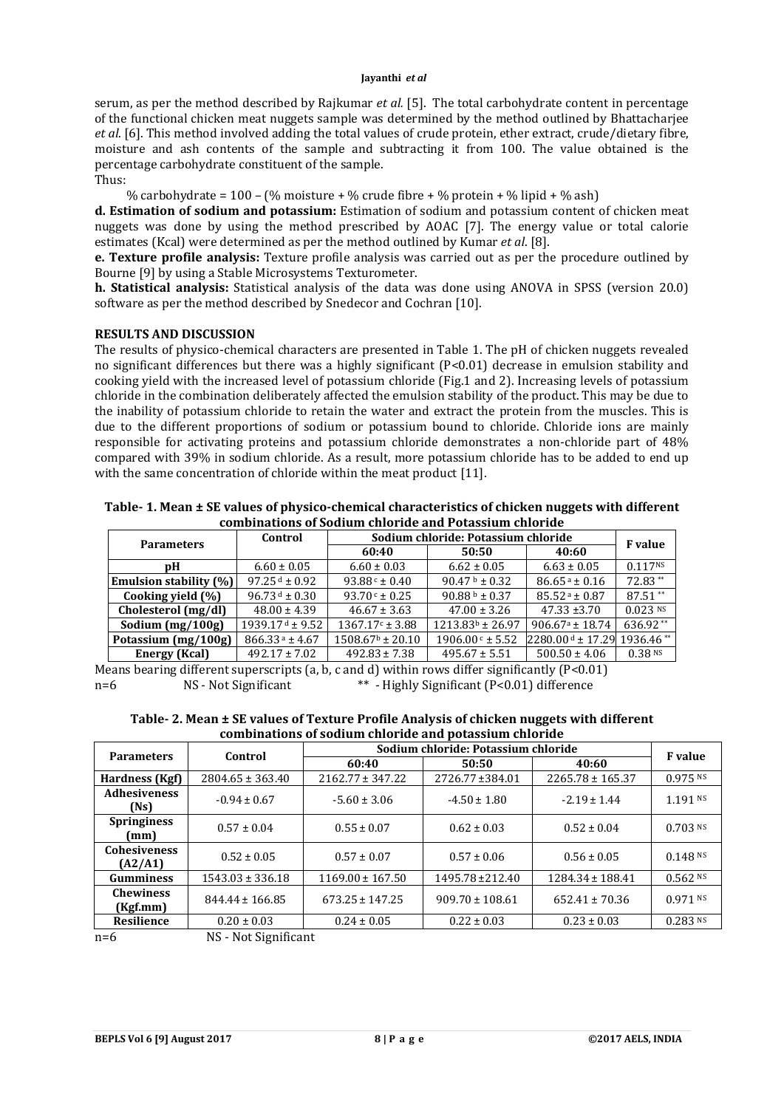serum, as per the method described by Rajkumar *et al.* [5]. The total carbohydrate content in percentage of the functional chicken meat nuggets sample was determined by the method outlined by Bhattacharjee *et al*. [6]. This method involved adding the total values of crude protein, ether extract, crude/dietary fibre, moisture and ash contents of the sample and subtracting it from 100. The value obtained is the percentage carbohydrate constituent of the sample.

Thus:

% carbohydrate =  $100 - (% \text{ moisture} + % \text{ crude fibre} + % \text{protein} + % \text{light} + % \text{light} + % \text{light} + % \text{th} + % \text{th} + % \text{th} + % \text{th} + % \text{th} + % \text{th} + % \text{th} + % \text{th} + % \text{th} + % \text{th} + % \text{th} + % \text{th} + % \text{th} + % \text{th} + % \text{th} + % \text{th} + % \text{th} + % \text{th} + % \text{th} + % \text{th} + % \text{th} + % \text{th} + %$ 

**d. Estimation of sodium and potassium:** Estimation of sodium and potassium content of chicken meat nuggets was done by using the method prescribed by AOAC [7]. The energy value or total calorie estimates (Kcal) were determined as per the method outlined by Kumar *et al*. [8].

**e. Texture profile analysis:** Texture profile analysis was carried out as per the procedure outlined by Bourne [9] by using a Stable Microsystems Texturometer.

**h. Statistical analysis:** Statistical analysis of the data was done using ANOVA in SPSS (version 20.0) software as per the method described by Snedecor and Cochran [10].

## **RESULTS AND DISCUSSION**

The results of physico-chemical characters are presented in Table 1. The pH of chicken nuggets revealed no significant differences but there was a highly significant (P<0.01) decrease in emulsion stability and cooking yield with the increased level of potassium chloride (Fig.1 and 2). Increasing levels of potassium chloride in the combination deliberately affected the emulsion stability of the product. This may be due to the inability of potassium chloride to retain the water and extract the protein from the muscles. This is due to the different proportions of sodium or potassium bound to chloride. Chloride ions are mainly responsible for activating proteins and potassium chloride demonstrates a non-chloride part of 48% compared with 39% in sodium chloride. As a result, more potassium chloride has to be added to end up with the same concentration of chloride within the meat product [11].

| Table- 1. Mean ± SE values of physico-chemical characteristics of chicken nuggets with different |
|--------------------------------------------------------------------------------------------------|
| combinations of Sodium chloride and Potassium chloride                                           |

| <b>Parameters</b>             | Control            | Sodium chloride: Potassium chloride | <b>F</b> value             |                                           |                     |
|-------------------------------|--------------------|-------------------------------------|----------------------------|-------------------------------------------|---------------------|
|                               |                    | 60:40                               | 50:50                      | 40:60                                     |                     |
| рH                            | $6.60 \pm 0.05$    | $6.60 \pm 0.03$                     | $6.62 \pm 0.05$            | $6.63 \pm 0.05$                           | 0.117 <sub>NS</sub> |
| <b>Emulsion stability (%)</b> | $97.25 d \pm 0.92$ | $93.88c \pm 0.40$                   | 90.47 $\text{b} \pm 0.32$  | $86.65a \pm 0.16$                         | 72.83**             |
| Cooking yield $(\%)$          | $96.73 d \pm 0.30$ | $93.70 c \pm 0.25$                  | 90.88 $\frac{b}{2}$ + 0.37 | $85.52a \pm 0.87$                         | $87.51**$           |
| Cholesterol (mg/dl)           | $48.00 \pm 4.39$   | $46.67 \pm 3.63$                    | $47.00 \pm 3.26$           | $47.33 \pm 3.70$                          | $0.023$ NS          |
| Sodium $(mg/100g)$            | $1939.17d + 9.52$  | $1367.17c \pm 3.88$                 | $1213.83b \pm 26.97$       | $906.67a \pm 18.74$                       | 636.92**            |
| Potassium (mg/100g)           | $866.33a \pm 4.67$ | $1508.67b \pm 20.10$                | $1906.00 c \pm 5.52$       | $2280.00$ d ± 17.29 1936.46 <sup>**</sup> |                     |
| <b>Energy (Kcal)</b>          | $492.17 \pm 7.02$  | $492.83 \pm 7.38$                   | $495.67 \pm 5.51$          | $500.50 \pm 4.06$                         | 0.38 N              |

Means bearing different superscripts (a, b, c and d) within rows differ significantly (P<0.01) n=6 NS - Not Significant  $^{**}$  - Highly Significant (P<0.01) difference n=6 NS - Not Significant \*\* - Highly Significant (P<0.01) difference

| Table- 2. Mean ± SE values of Texture Profile Analysis of chicken nuggets with different |
|------------------------------------------------------------------------------------------|
| combinations of sodium chloride and potassium chloride                                   |

| <b>Parameters</b>              | Control              | Sodium chloride: Potassium chloride | <b>F</b> value      |                      |            |
|--------------------------------|----------------------|-------------------------------------|---------------------|----------------------|------------|
|                                |                      | 60:40                               | 50:50               | 40:60                |            |
| <b>Hardness (Kgf)</b>          | $2804.65 \pm 363.40$ | $2162.77 \pm 347.22$                | 2726.77 ± 384.01    | $2265.78 \pm 165.37$ | $0.975$ NS |
| <b>Adhesiveness</b><br>(Ns)    | $-0.94 \pm 0.67$     | $-5.60 \pm 3.06$                    | $-4.50 \pm 1.80$    | $-2.19 \pm 1.44$     | $1.191$ NS |
| <b>Springiness</b><br>(mm)     | $0.57 \pm 0.04$      | $0.55 \pm 0.07$                     | $0.62 \pm 0.03$     | $0.52 \pm 0.04$      | $0.703$ NS |
| <b>Cohesiveness</b><br>(A2/A1) | $0.52 \pm 0.05$      | $0.57 \pm 0.07$                     | $0.57 \pm 0.06$     | $0.56 \pm 0.05$      | $0.148$ NS |
| <b>Gumminess</b>               | $1543.03 \pm 336.18$ | $1169.00 \pm 167.50$                | 1495.78 ± 212.40    | $1284.34 \pm 188.41$ | $0.562$ NS |
| <b>Chewiness</b><br>(Kgf.mm)   | $844.44 \pm 166.85$  | $673.25 \pm 147.25$                 | $909.70 \pm 108.61$ | $652.41 \pm 70.36$   | $0.971$ NS |
| Resilience                     | $0.20 \pm 0.03$      | $0.24 \pm 0.05$                     | $0.22 \pm 0.03$     | $0.23 \pm 0.03$      | 0.283 Ns   |

n=6 NS - Not Significant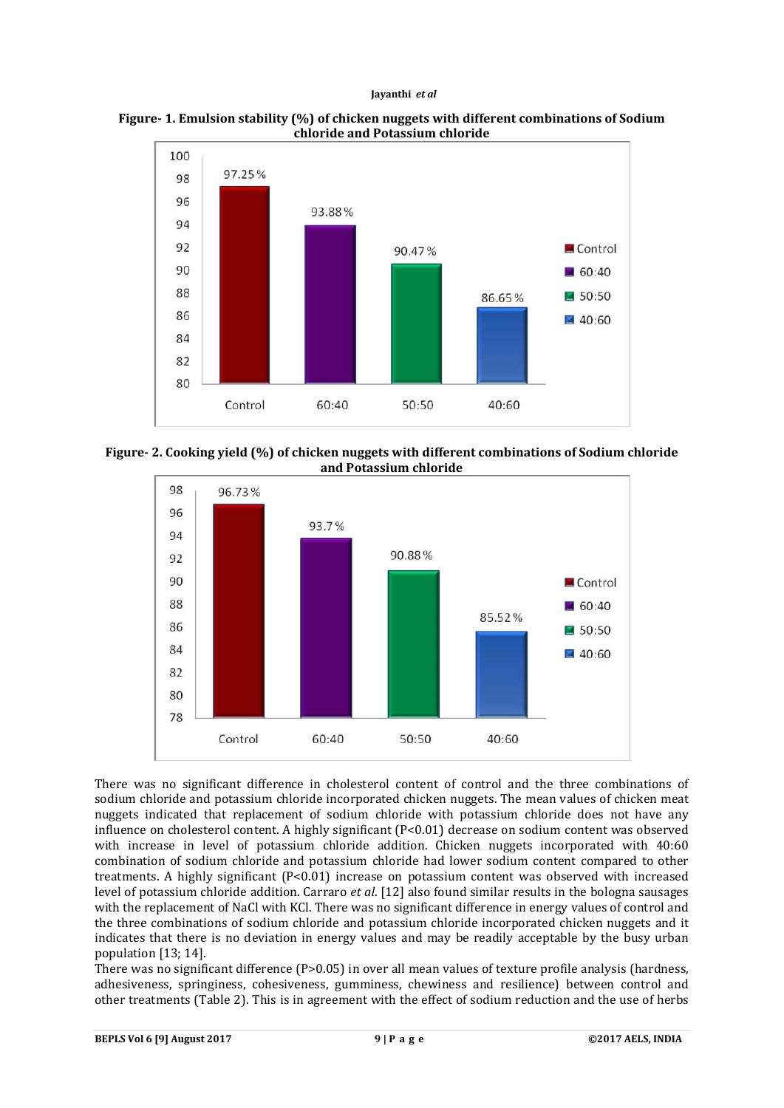#### **Jayanthi** *et al*





**Figure- 2. Cooking yield (%) of chicken nuggets with different combinations of Sodium chloride and Potassium chloride**



There was no significant difference in cholesterol content of control and the three combinations of sodium chloride and potassium chloride incorporated chicken nuggets. The mean values of chicken meat nuggets indicated that replacement of sodium chloride with potassium chloride does not have any influence on cholesterol content. A highly significant (P<0.01) decrease on sodium content was observed with increase in level of potassium chloride addition. Chicken nuggets incorporated with 40:60 combination of sodium chloride and potassium chloride had lower sodium content compared to other treatments. A highly significant (P<0.01) increase on potassium content was observed with increased level of potassium chloride addition. Carraro *et al*. [12] also found similar results in the bologna sausages with the replacement of NaCl with KCl. There was no significant difference in energy values of control and the three combinations of sodium chloride and potassium chloride incorporated chicken nuggets and it indicates that there is no deviation in energy values and may be readily acceptable by the busy urban population [13; 14].

There was no significant difference ( $P>0.05$ ) in over all mean values of texture profile analysis (hardness, adhesiveness, springiness, cohesiveness, gumminess, chewiness and resilience) between control and other treatments (Table 2). This is in agreement with the effect of sodium reduction and the use of herbs